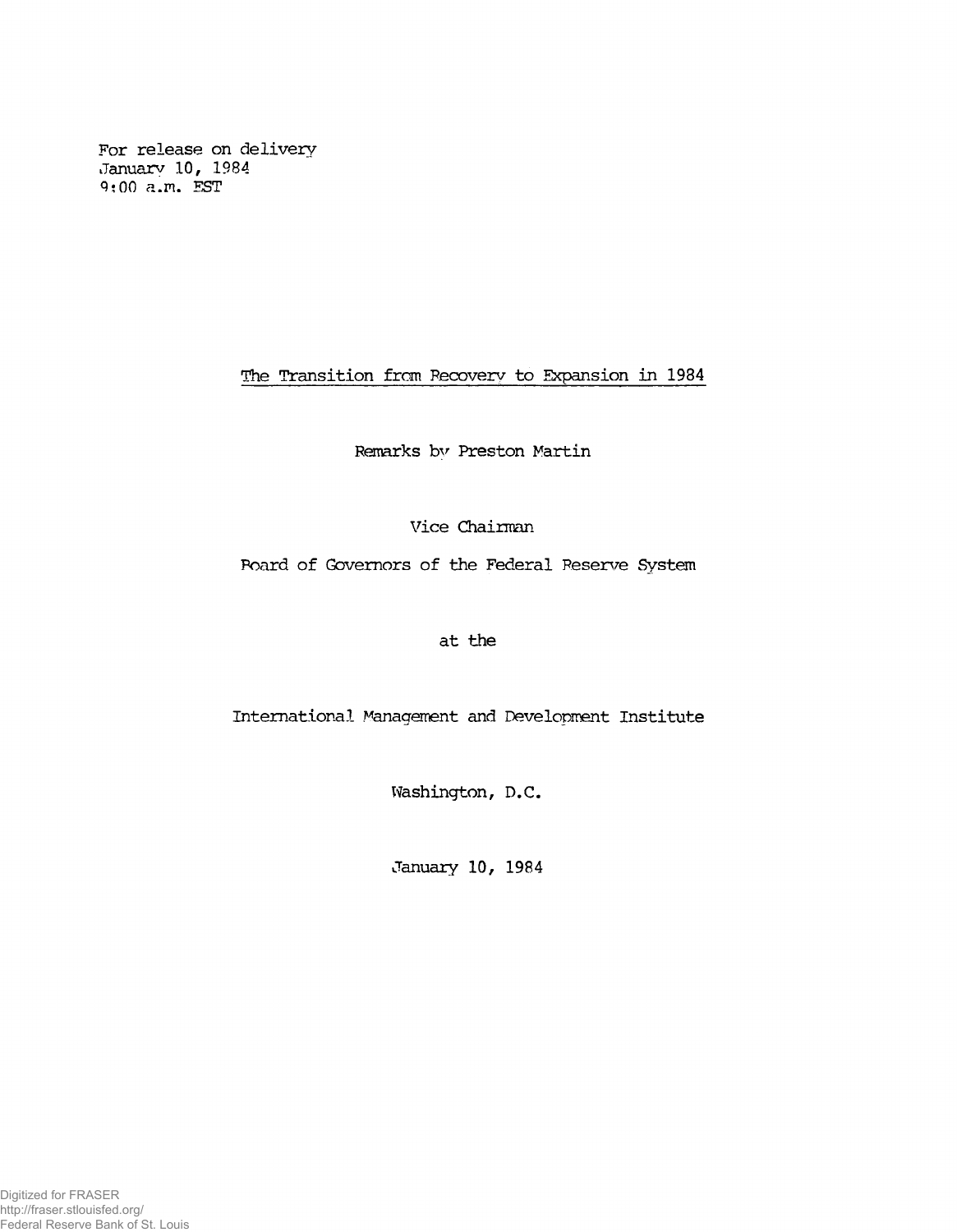**For release on delivery January 10, 1984 9;00 a.m. EST**

**The Transition from Recovery to Expansion in 1984**

**Remarks by Preston Martin**

**Vice Chairman**

**Board of Governors of the Federal Reserve System**

**at the**

International Management and Development Institute

**Washington, D.C.**

**January 10, 1984**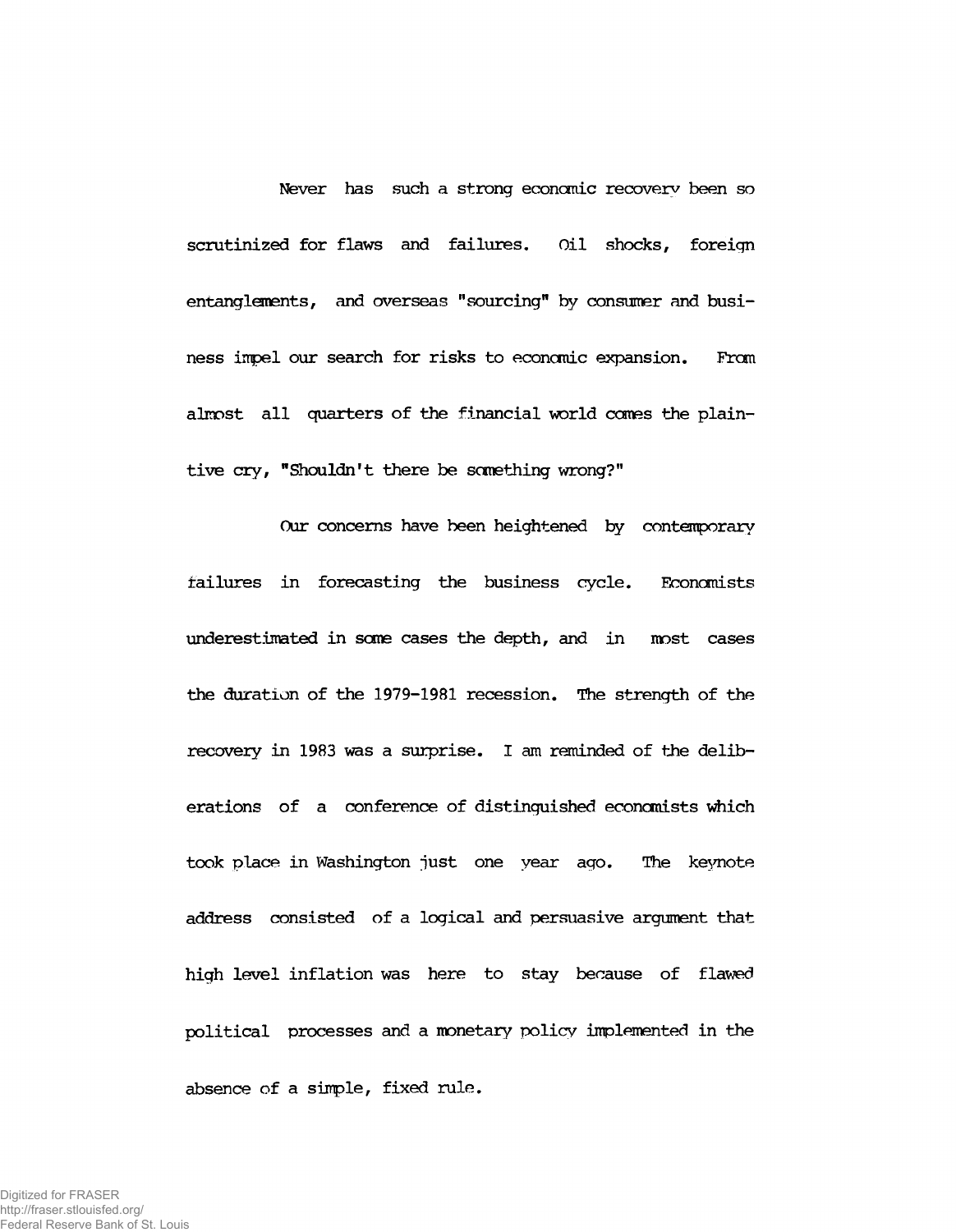**Never has such a strong economic recovery been so scrutinized for flaws and failures. Oil shocks, foreign entanglements, and overseas "sourcing" by consumer and business impel our search for risks to economic expansion. From almost all quarters of the financial world comes the plaintive cry, "Shouldn't there be something wrong?"**

**Our concerns have been heightened by contemporary failures in forecasting the business cycle. Economists underestimated in some cases the depth, and in most cases the duration of the 1979-1981 recession. The strength of the recovery in 1983 was a surprise. I am reminded of the deliberations of a conference of distinguished economists which took place in Washington just one year ago. The keynote address consisted of a logical and persuasive argument that high level inflation was here to stay because of flawed political processes and a monetary policy implemented in the absence of a simple, fixed rule.**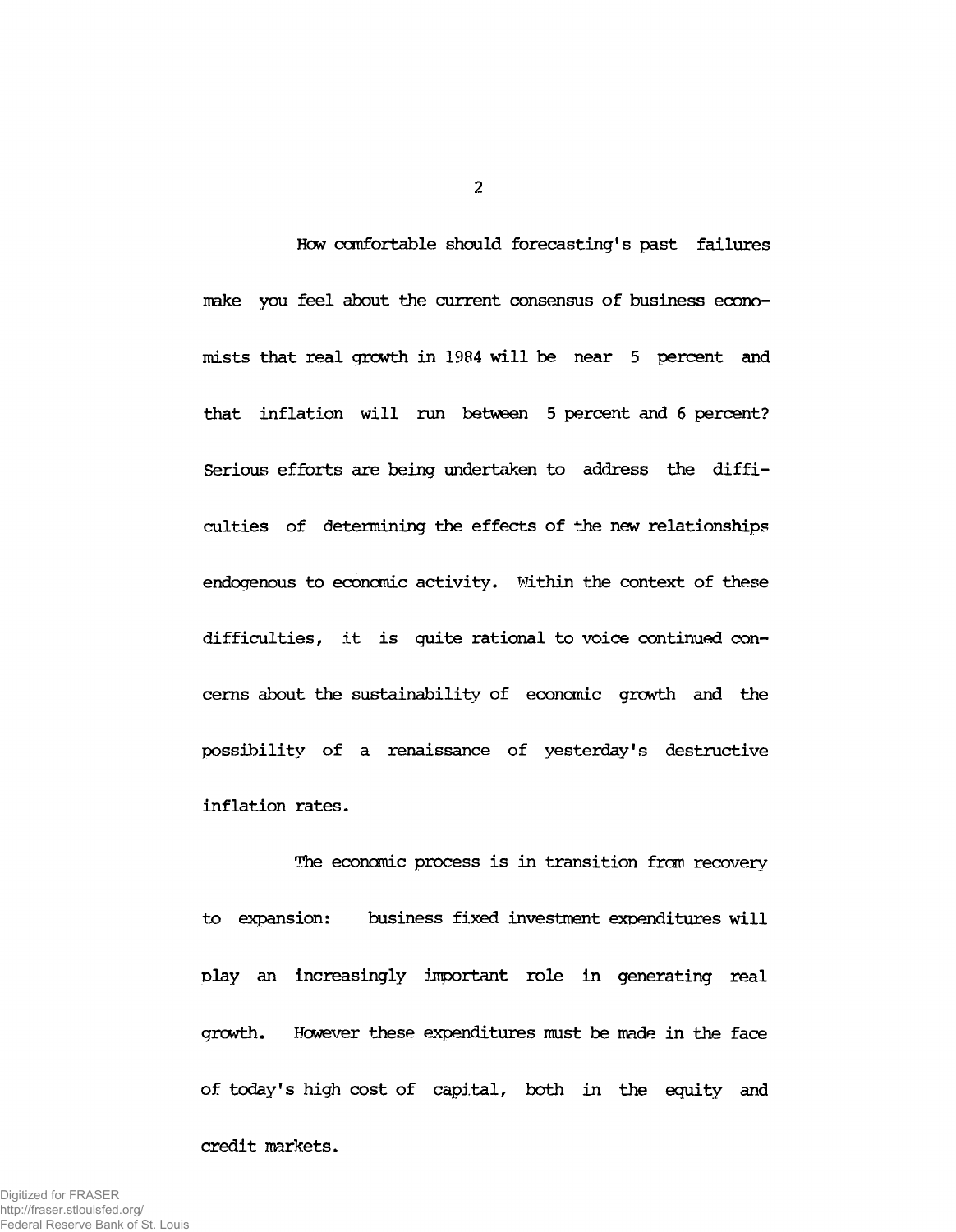**Hew comfortable should forecasting's past failures make you feel about the current consensus of business economists that real grewth in 1984 will be near 5 percent and that inflation will nan between 5 percent and 6 percent? Serious efforts are being undertaken to address the difficulties of determining the effects of the new relationships endogenous to economic activity. Within the context of these difficulties, it is quite rational to voice continued concerns about the sustainability of economic growth and the possibility of a renaissance of yesterday's destructive inflation rates.**

**Hie economic process is in transition from recovery to expansion: business fixed investment expenditures will play an increasingly important role in generating real growth. However these expenditures must be made in the face of today's high cost of capital, both in the equity and**

**credit markets.**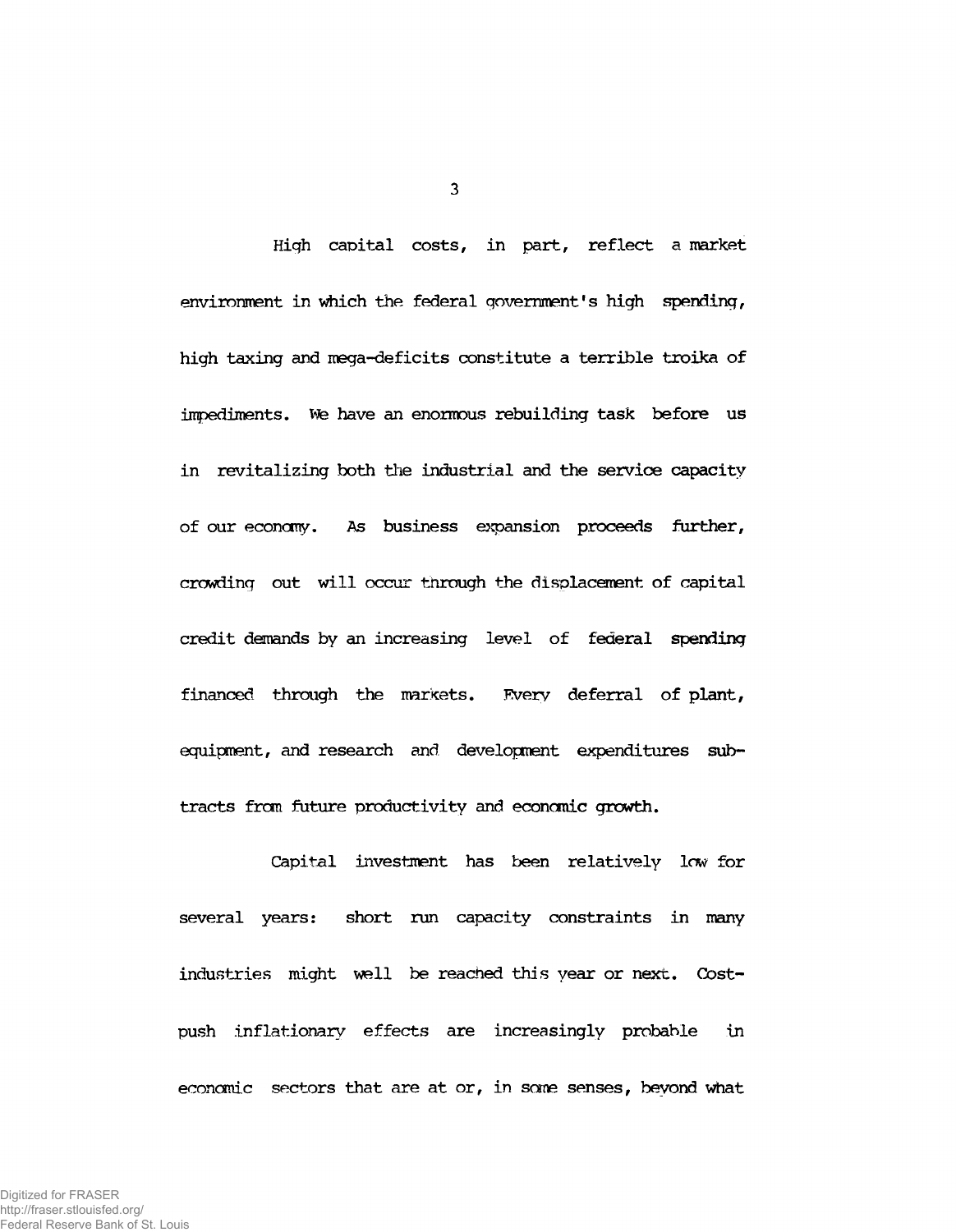**High capital costs, in part, reflect a market** environment in which the federal government's high spending, **high taxing and mega-deficits constitute a terrible troika of impediments, tote have an enormous rebuilding task before us in revitalizing both the industrial and the service capacity of our economy'. As business expansion proceeds further, crowding out will occur through the displacement of capital credit demands by an increasing level of federal spending financed through the markets. Every deferral of plant, equipment, and research and development expenditures subtracts from future productivity and economic growth.**

**Capital investment has been relatively low for several years: short run capacity constraints in many industries might well be reached this year or next. Costpush inflationary effects are increasingly probable in economic sectors that are at or, in some senses, beyond what**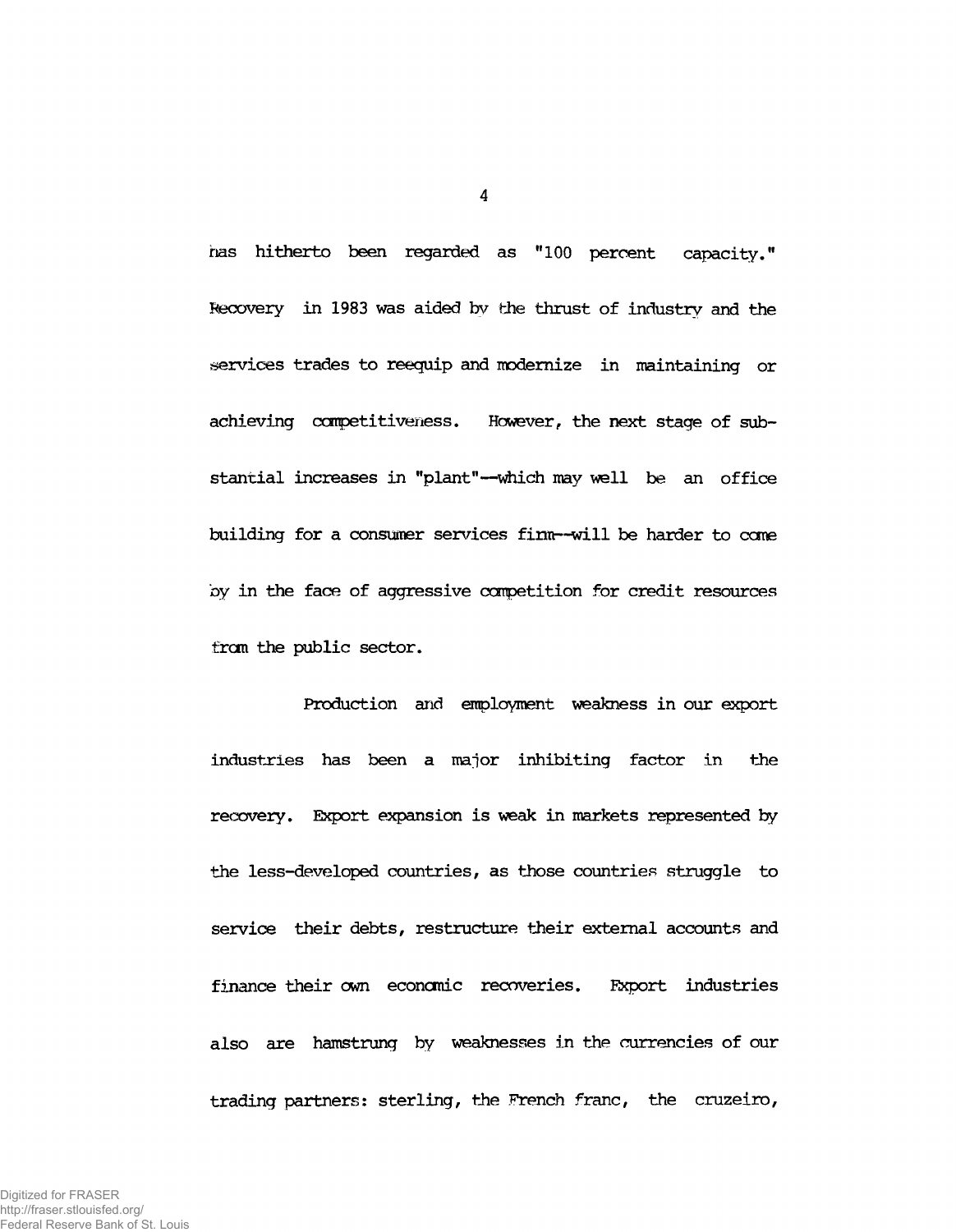**has hitherto been regarded as "100 percent capacity." Recovery in 1983 was aided by the thrust of industry and the services trades to reequip and modernize in maintaining or achieving competitiveness. However, the next stage of substantial increases in "plant"— which may well be an office building for a consumer services firm— will be harder to come by in the face of aggressive corpetition for credit resources from the public sector.**

**Production and employment weakness in our export industries has been a major inhibiting factor in the recovery. Export expansion is weak in markets represented by the less-developed countries, as those countries struggle to service their debts, restructure their external accounts and finance their own economic recoveries. Export industries also are hamstrung by weaknesses in the currencies of our trading partners: sterling, the French franc, the cruzeiro,**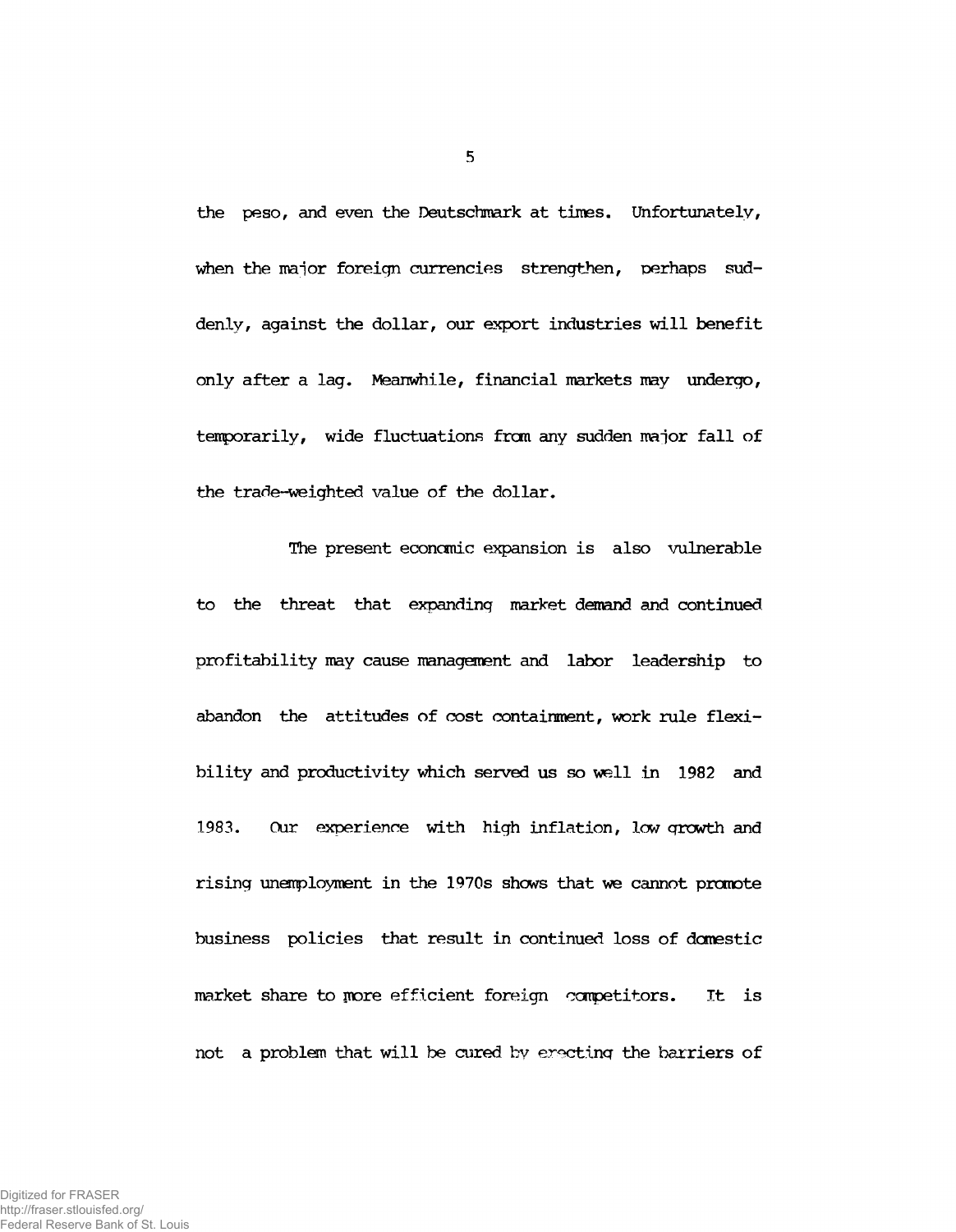**the peso, and even the Deutschmark at times. Unfortunately, when the major foreign currencies strengthen, perhaps suddenly, against the dollar, our export industries will benefit only after a lag. Meanwhile, financial markets may undergo, temporarily, wide fluctuations from any sudden major fall of the trade-weighted value of the dollar.**

**The present economic expansion is also vulnerable to the threat that expanding market demand and continued profitability may cause management and labor leadership to abandon the attitudes of cost containment, work rule flexibility and productivity which served us so well in 1982 and 1983. Our experience with high inflation, lew growth and rising unemployment in the 1970s shews that we cannot promote business policies that result in continued loss of domestic market share to more efficient foreign competitors. It is not a problem that will be cured by erecting the barriers of**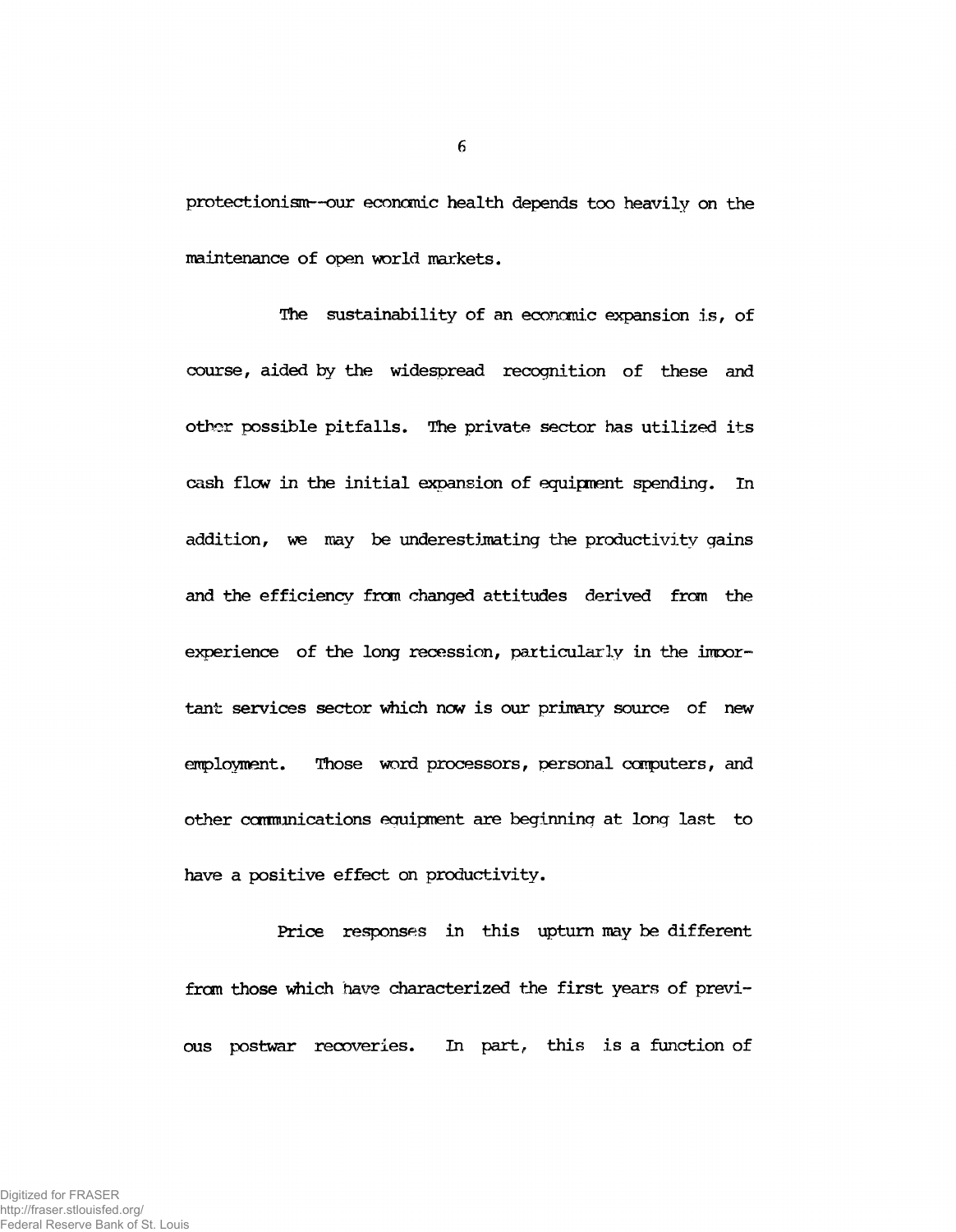**protectionism— our economic health depends too heavily on the maintenance of open world markets.**

**The sustainability of an economic expansion is, of course, aided by the widespread recognition of these and other possible pitfalls. The private sector has utilized its cash flow in the initial expansion of equipment spending. In addition, we may be underestimating the productivity gains and the efficiency frcm changed attitudes derived from the experience of the long recession, particularly in the important services sector which now is our primary source of new employment. Those word processors, personal computers, and other carmunications equipment are beginning at long last to have a positive effect on productivity.**

**Price responses in this upturn may be different** from those which have characterized the first years of previ**ous postwar recoveries. In part, this is a function of**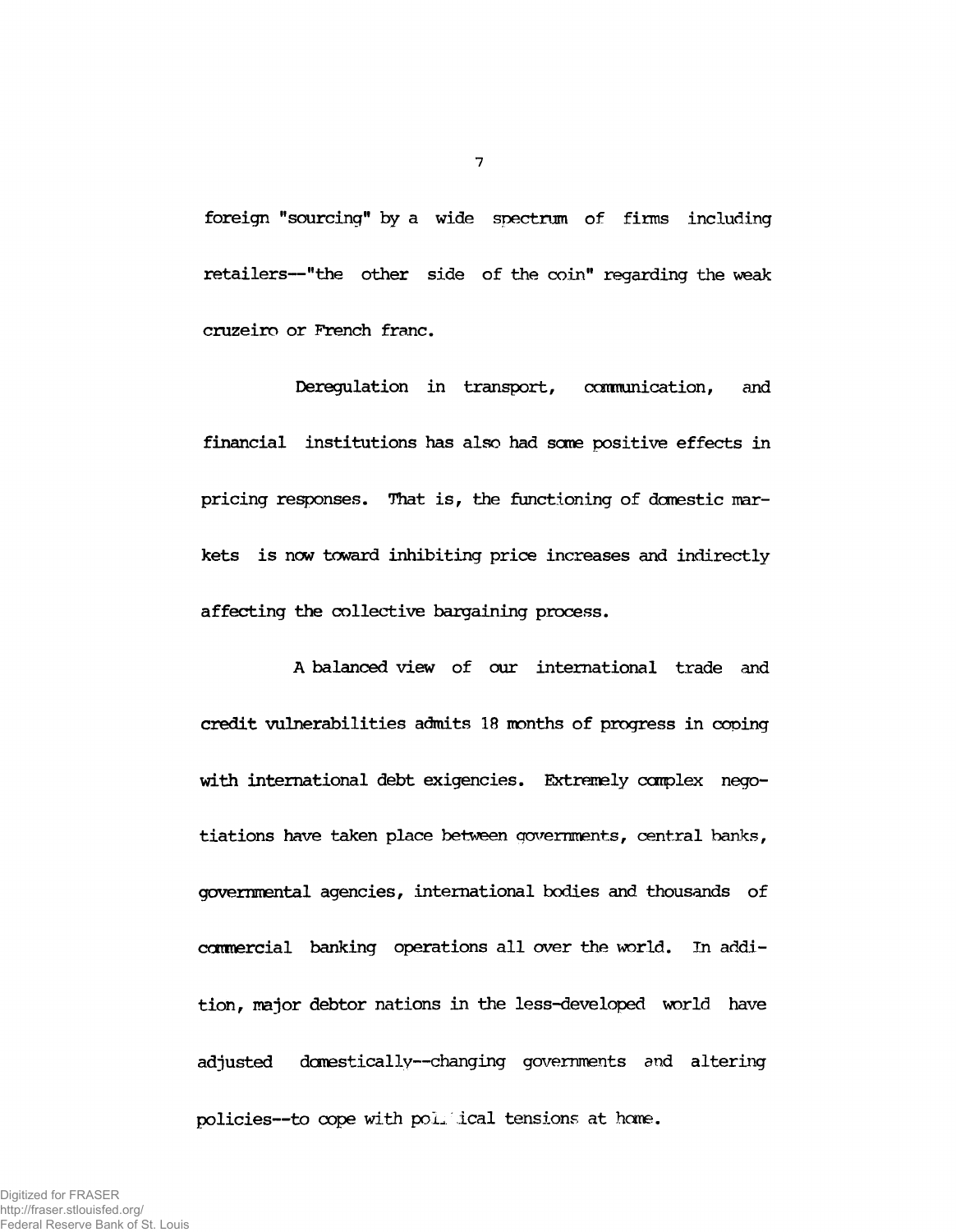**foreign "sourcing" by a wide spectrum of firms including retailers— "the other side of the coin" regarding the weak cruzeiro or French franc.**

**Deregulation in transport, communication, and financial institutions has also had seme positive effects in pricing responses. That is, the functioning of domestic markets is now toward inhibiting price increases and indirectly affecting the collective bargaining process.**

**A balanced view of our international trade and credit vulnerabilities admits 18 months of progress in coping with international debt exigencies. Extremely complex negotiations have taken place between governments, central banks, governmental agencies, international bodies and thousands of commercial banking operations all over the world. In addition, major debtor nations in the less-developed world have adjusted domestically— changing governments and altering policies— to cope with po.'L ical tensions at home.**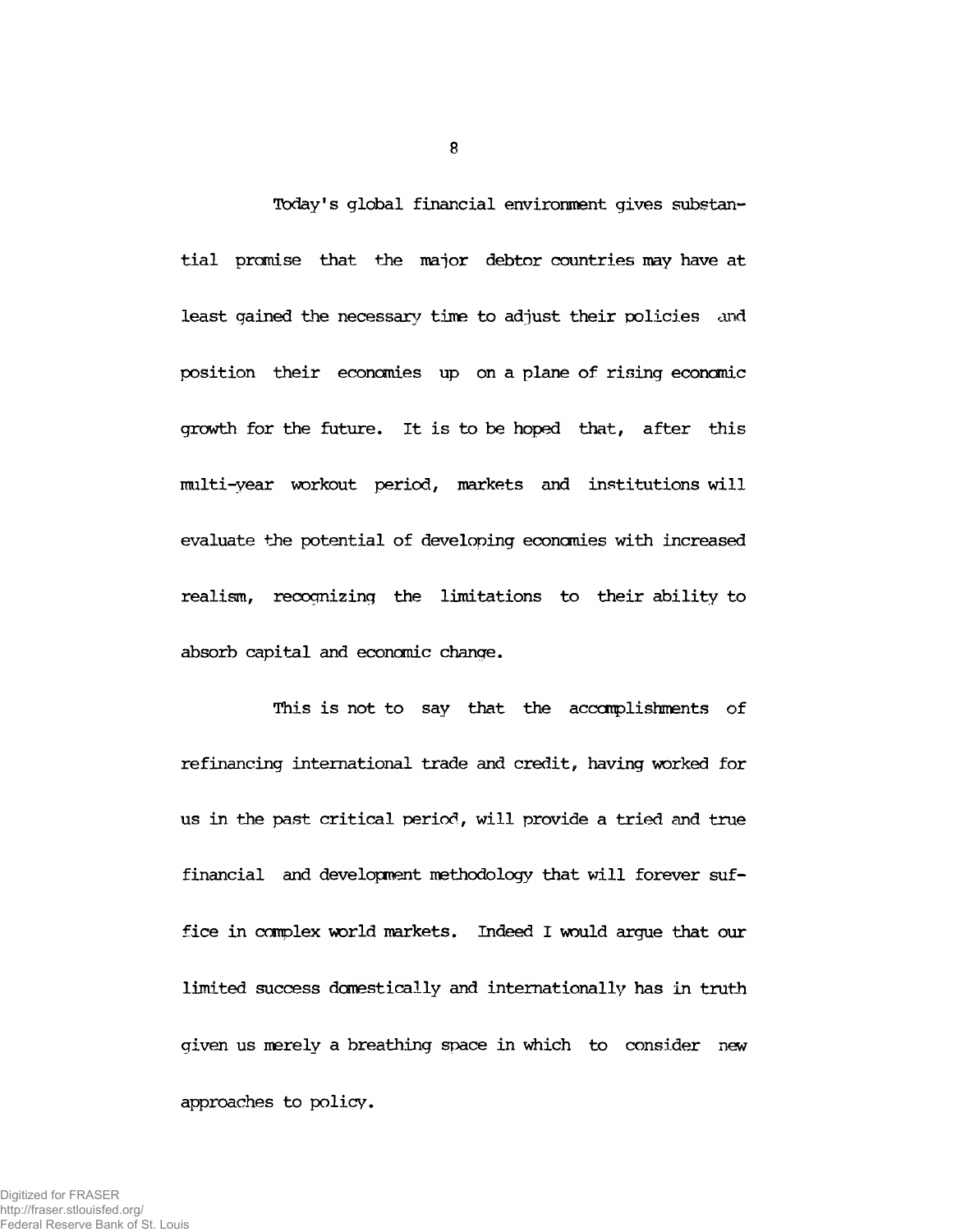**Today's global financial environment gives substantial premise that the major debtor countries may have at least gained the necessary time to adjust their policies and position their economies up on a plane of rising economic growth for the future. It is to be hoped that, after this imilti-year workout period, markets and institutions will evaluate the potential of developing economies with increased realism, recognizing the limitations to their ability to absorb capital and economic change.**

**This is not to say that the accomplishments of refinancing international trade and credit, having worked for us in the past critical period, will provide a tried and true financial and development methodology that will forever suffice in complex world markets. Indeed I would argue that our limited success domestically and internationally has in truth given us merely a breathing space in which to consider new approaches to policy.**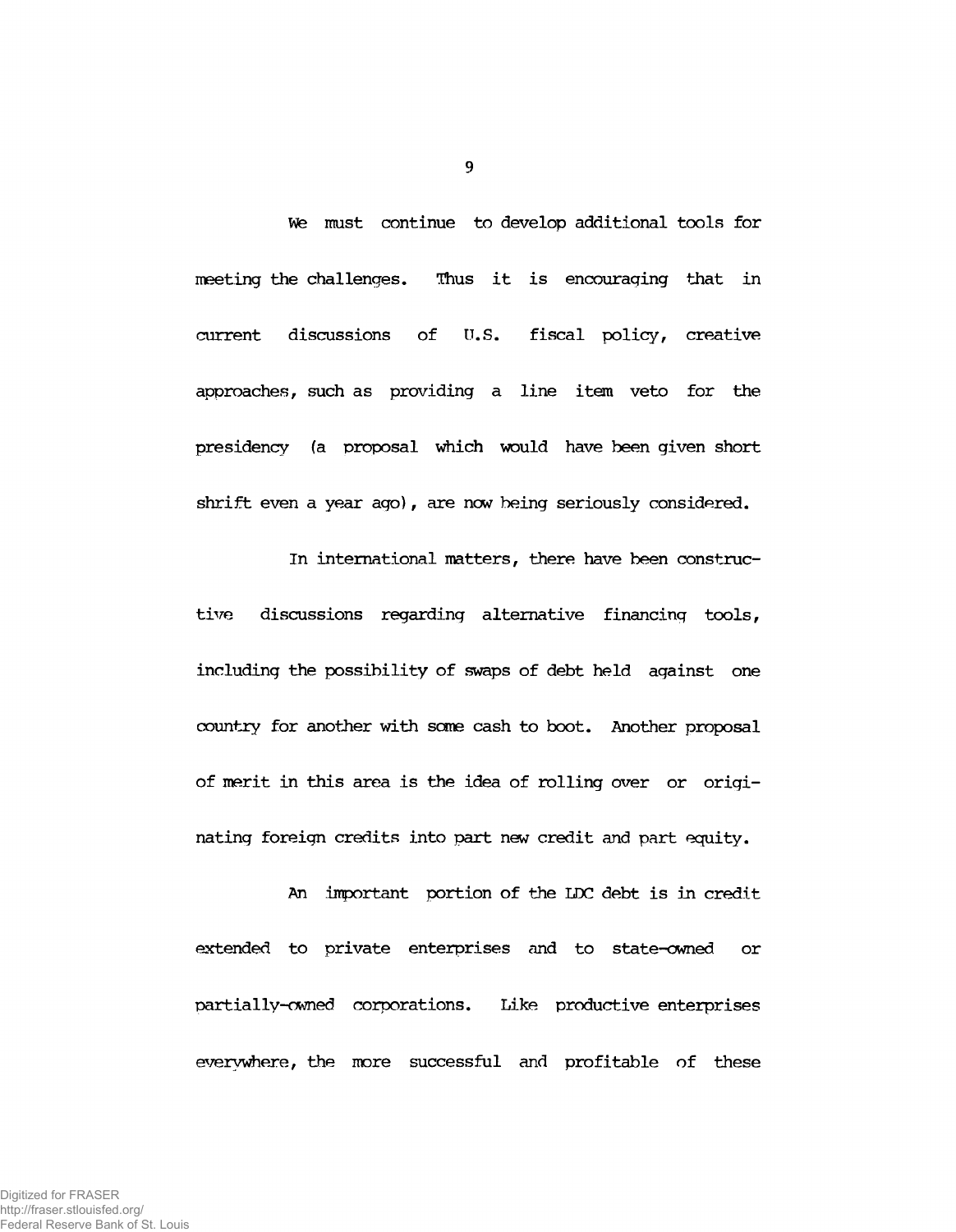**We must continue to develop additional tools for meeting the challenges. Thus it is encouraging that in current discussions of U.S. fiscal policy, creative approaches, such as providing a line item veto for the presidency (a proposal which would have been given short shrift even a year ago), are now being seriously considered.**

**In international matters, there have been constructive discussions regarding alternative financing tools, including the possibility of swaps of debt held against one country for another with some cash to boot. Another proposal of merit in this area is the idea of rolling over or originating foreign credits into part new credit and part equity.**

**An important portion of the LDC debt is in credit extended to private enterprises and to state-owned or partially-owned corporations. Like productive enterprises everywhere, the more successful and profitable of these**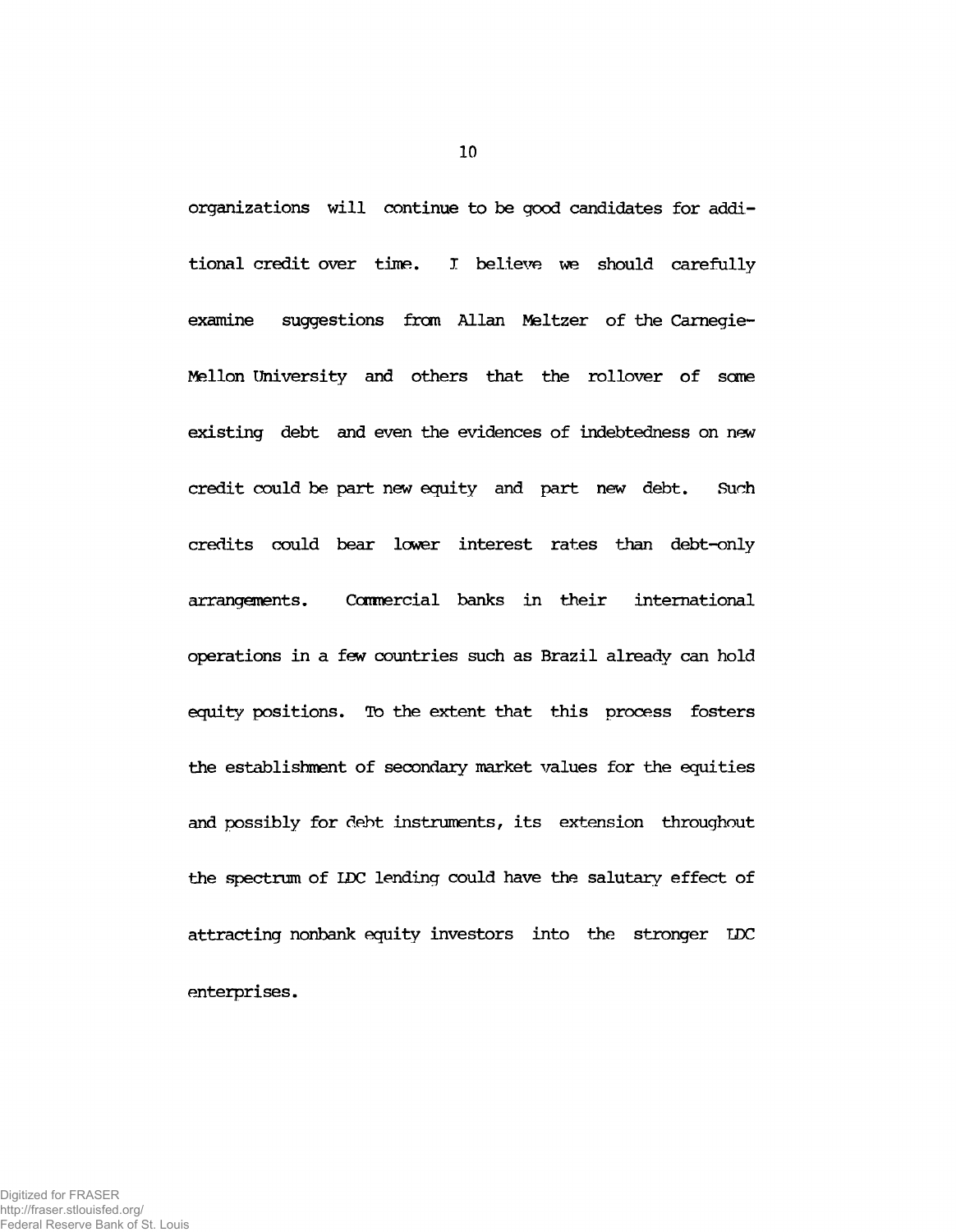**organizations will continue to be good candidates for additional credit over time. I believe we should carefully** examine suggestions from Allan Meltzer of the Carnegie-**Mellon University and others that the rollover of seme existing debt and even the evidences of indebtedness on new credit could be part new equity and part new debt. Such credits could bear lower interest rates than debt-only arrangements. Caimercial banks in their international operations in a few countries such as Brazil already can hold equity positions. To the extent that this process fosters the establishment of secondary market values for the equities and possibly for debt instruments, its extension throughout the spectrum of LDC lending could have the salutary effect of attracting nonbank equity investors into the stronger DDC enterprises.**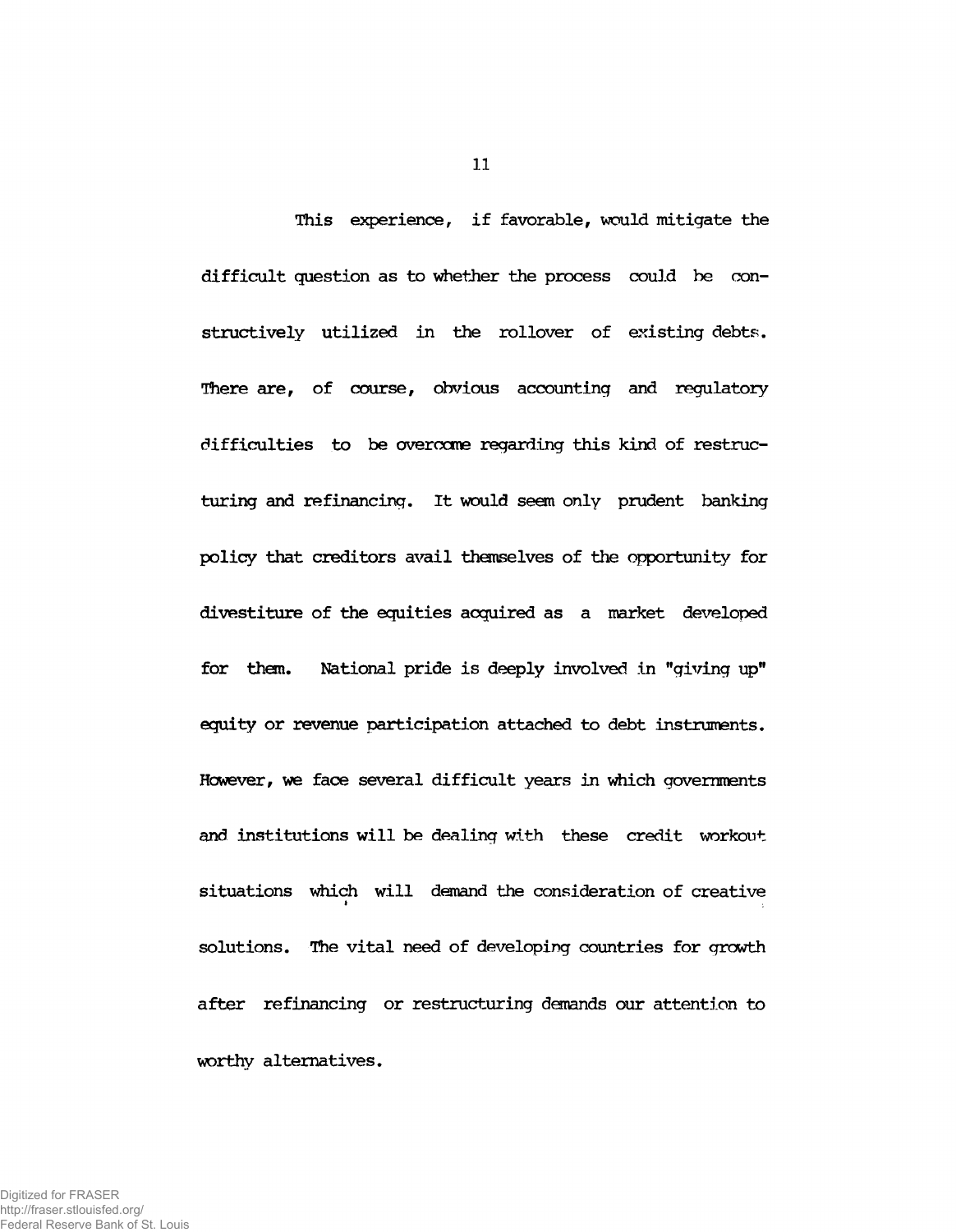**This experience, if favorable, would mitigate the difficult question as to whether the process could be constructively utilized in the rollover of existing debts. There are, of course, obvious accounting and regulatory difficulties to be overcome regarding this kind of restructuring and refinancing. It would seem only prudent banking policy that creditors avail themselves of the opportunity for divestiture of the equities acquired as a market developed for them. National pride is deeply involved in "giving up" equity or revenue participation attached to debt instruments. However, we face several difficult years in which governments and institutions will be dealing with these credit workout situations which will demand the consideration of creative** t and the state of the state of the state of the state of the state of the state of the state of the state of **solutions. The vital need of developing countries for growth after refinancing or restructuring demands our attention to worthy alternatives.**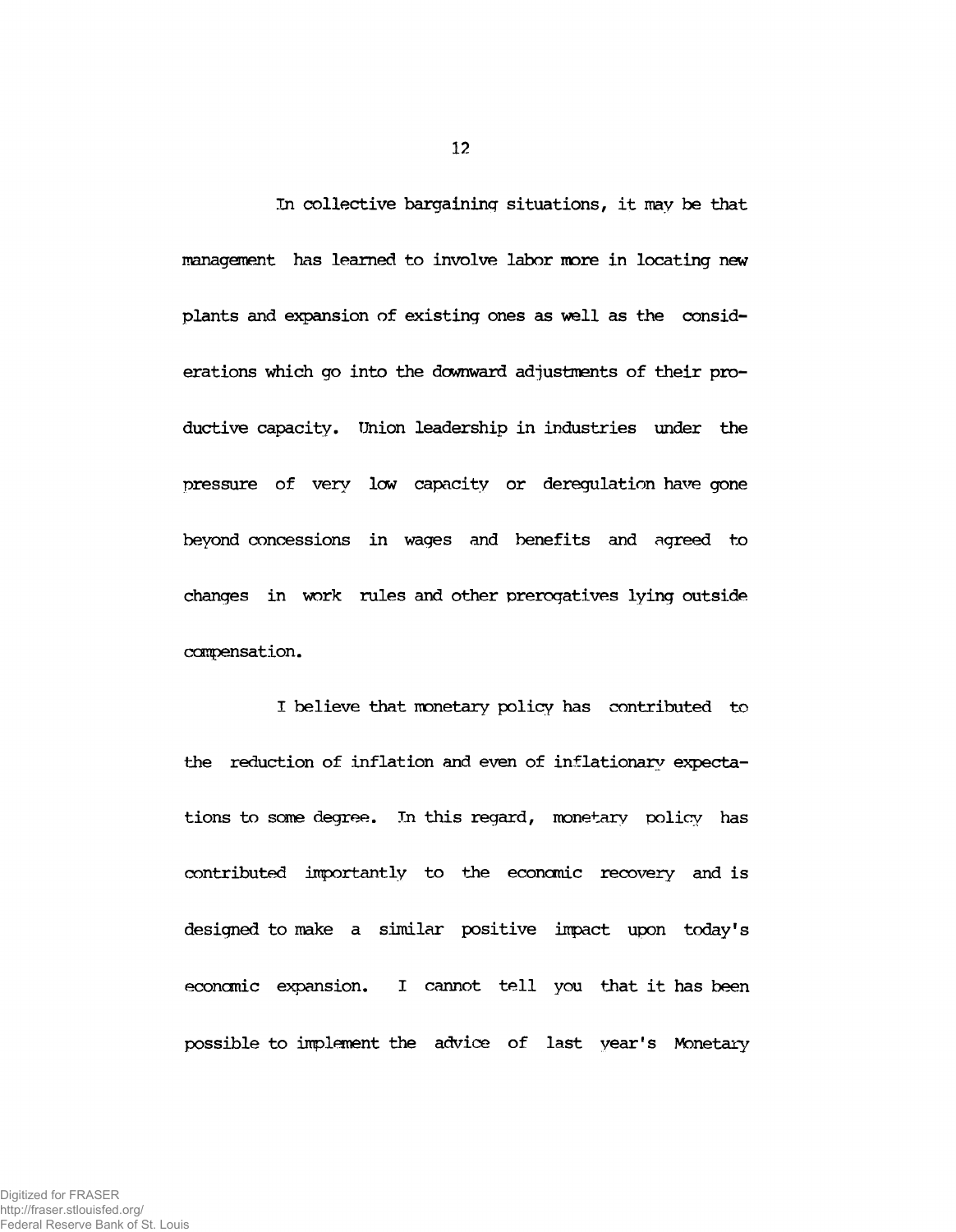**In collective bargaining situations, it may be that management has learned to involve labor more in locating new plants and expansion of existing ones as well as the considerations which go into the downward adjustments of their productive capacity, ünion leadership in industries under the pressure of very low capacity or deregulation have gone beyond concessions in wages and benefits and agreed to changes in work rules and other prerogatives lying outside compensation.**

**I believe that monetary policy has contributed to the reduction of inflation and even of inflationary expectations to sane degree. In this regard, monetary policy has contributed importantly to the economic recovery and is designed to make a similar positive impact upon today's economic expansion. I cannot tell you that it has been possible to implement the advice of last year's Monetary**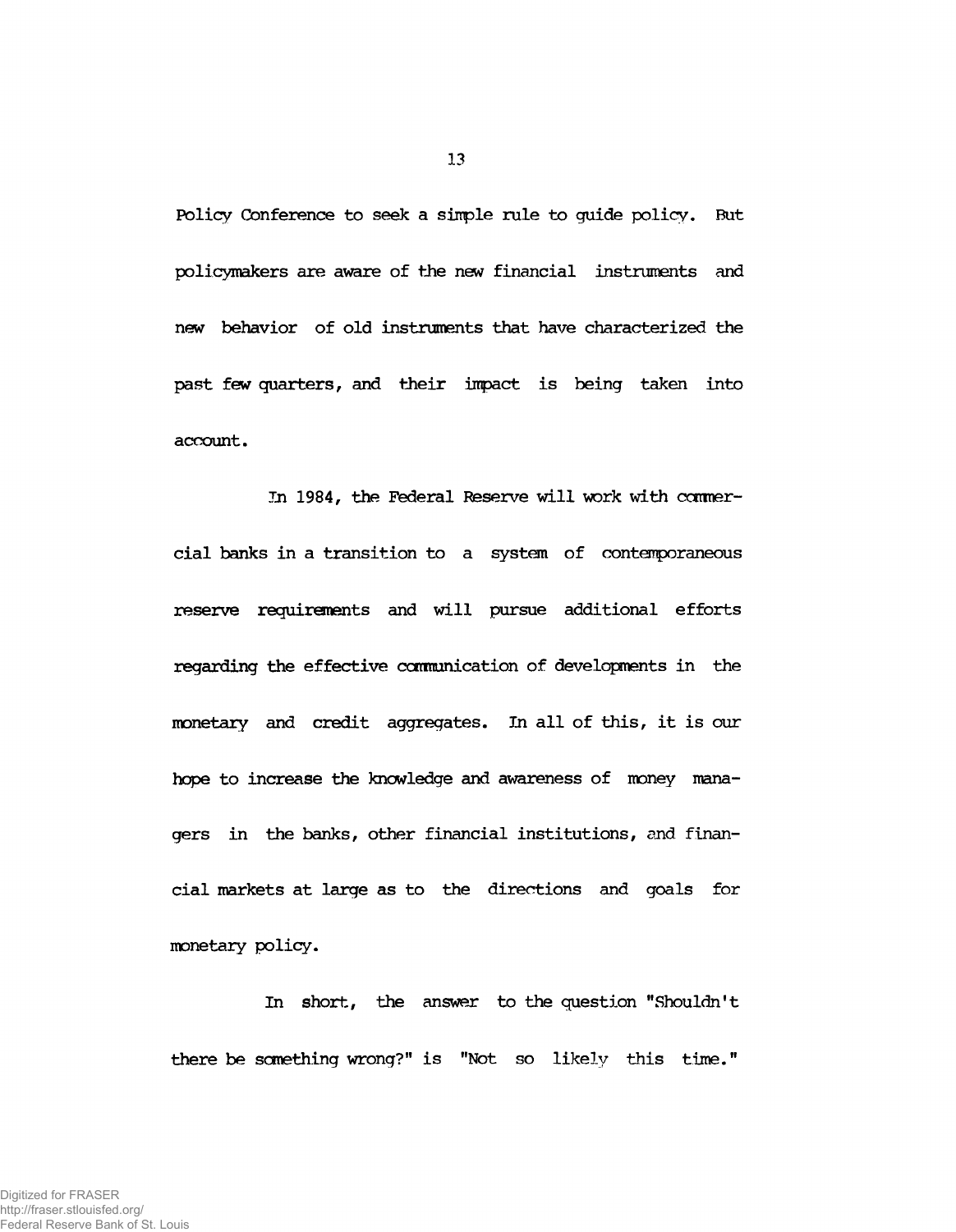**Policy Conference to seek a simple rule to guide policy. But policymakers are aware of the new financial instruments and new behavior of old instruments that have characterized the past few quarters, and their impact is being taken into account.**

In 1984, the Federal Reserve will work with commer**cial banks in a transition to a system of contemporaneous reserve requirements and will pursue additional efforts regarding the effective canmunication of developments in the monetary and credit aggregates. In all of this, it is our hope to increase the knowledge and awareness of money managers in the banks, other financial institutions, and financial markets at large as to the directions and goals for monetary policy.**

**In short, the answer to the question "Shouldn't there be something wrong?" is "Not so likely this time."**